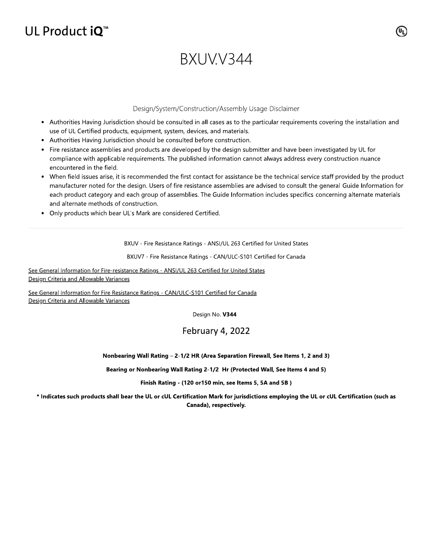## UL Product iQ<sup>™</sup>

# BXUVV344

#### Design/System/Construction/Assembly Usage Disclaimer

- Authorities Having Jurisdiction should be consulted in all cases as to the particular requirements covering the installation and use of UL Certified products, equipment, system, devices, and materials.
- Authorities Having Jurisdiction should be consulted before construction.
- Fire resistance assemblies and products are developed by the design submitter and have been investigated by UL for compliance with applicable requirements. The published information cannot always address every construction nuance encountered in the field.
- When field issues arise, it is recommended the first contact for assistance be the technical service staff provided by the product manufacturer noted for the design. Users of fire resistance assemblies are advised to consult the general Guide Information for each product category and each group of assemblies. The Guide Information includes specifics concerning alternate materials and alternate methods of construction.
- Only products which bear UL's Mark are considered Certified.

BXUV - Fire Resistance Ratings - ANSI/UL 263 Certified for United States

BXUV7 - Fire Resistance Ratings - CAN/ULC-S101 Certified for Canada

See General Information for Fire-resistance Ratings - ANSI/UL 263 Certified for United States Design Criteria and Allowable Variances

See General Information for Fire Resistance Ratings - CAN/ULC-S101 Certified for Canada Design Criteria and Allowable Variances

Design No. V344

### February 4, 2022

#### Nonbearing Wall Rating - 2-1/2 HR (Area Separation Firewall, See Items 1, 2 and 3)

Bearing or Nonbearing Wall Rating 2-1/2 Hr (Protected Wall, See Items 4 and 5)

Finish Rating - (120 or150 min, see Items 5, 5A and 5B)

\* Indicates such products shall bear the UL or cUL Certification Mark for jurisdictions employing the UL or cUL Certification (such as Canada), respectively.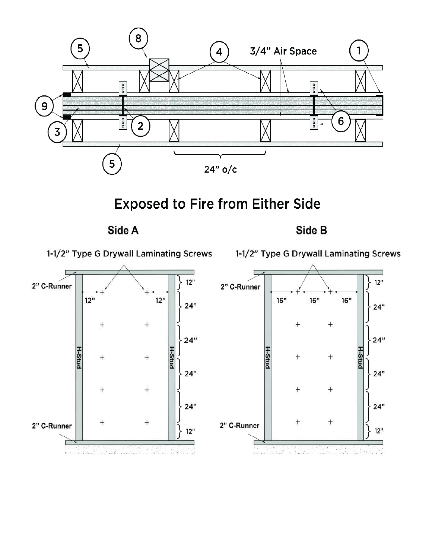

**Exposed to Fire from Either Side** 

Side A

Side B

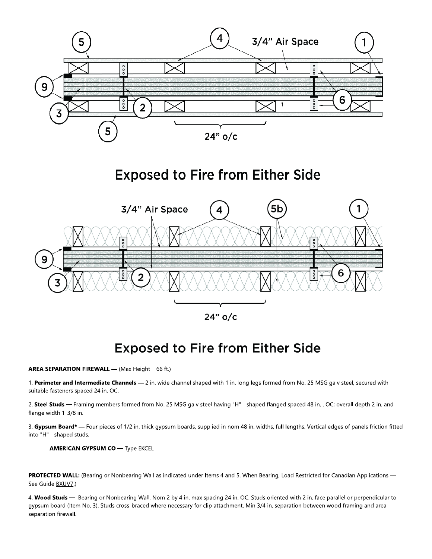

### **Exposed to Fire from Either Side**



### **Exposed to Fire from Either Side**

#### **AREA SEPARATION FIREWALL - (Max Height - 66 ft.)**

1. Perimeter and Intermediate Channels - 2 in. wide channel shaped with 1 in. long legs formed from No. 25 MSG galv steel, secured with suitable fasteners spaced 24 in. OC.

2. Steel Studs - Framing members formed from No. 25 MSG galv steel having "H" - shaped flanged spaced 48 in. . OC; overall depth 2 in. and flange width 1-3/8 in.

3. Gypsum Board\* - Four pieces of 1/2 in. thick gypsum boards, supplied in nom 48 in. widths, full lengths. Vertical edges of panels friction fitted into "H" - shaped studs.

**AMERICAN GYPSUM CO** - Type EKCEL

PROTECTED WALL: (Bearing or Nonbearing Wall as indicated under Items 4 and 5. When Bearing, Load Restricted for Canadian Applications -See Guide BXUV7.)

4. Wood Studs - Bearing or Nonbearing Wall. Nom 2 by 4 in. max spacing 24 in. OC. Studs oriented with 2 in. face parallel or perpendicular to gypsum board (Item No. 3). Studs cross-braced where necessary for clip attachment. Min 3/4 in. separation between wood framing and area separation firewall.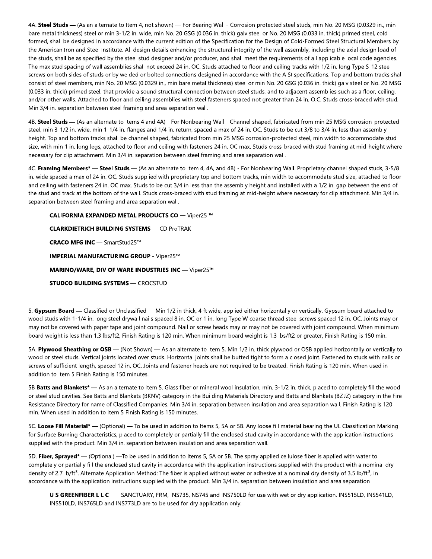4A. Steel Studs - (As an alternate to Item 4, not shown) - For Bearing Wall - Corrosion protected steel studs, min No. 20 MSG (0.0329 in., min bare metal thickness) steel or min 3-1/2 in. wide, min No. 20 GSG (0.036 in. thick) galv steel or No. 20 MSG (0.033 in. thick) primed steel, cold formed, shall be designed in accordance with the current edition of the Specification for the Design of Cold-Formed Steel Structural Members by the American Iron and Steel Institute. All design details enhancing the structural integrity of the wall assembly, including the axial design load of the studs, shall be as specified by the steel stud designer and/or producer, and shall meet the requirements of all applicable local code agencies. The max stud spacing of wall assemblies shall not exceed 24 in. OC. Studs attached to floor and ceiling tracks with 1/2 in. long Type S-12 steel screws on both sides of studs or by welded or bolted connections designed in accordance with the AISI specifications. Top and bottom tracks shall consist of steel members, min No. 20 MSG (0.0329 in., min bare metal thickness) steel or min No. 20 GSG (0.036 in. thick) galv steel or No. 20 MSG (0.033 in, thick) primed steel, that provide a sound structural connection between steel studs, and to adiacent assemblies such as a floor, ceiling, and/or other walls. Attached to floor and ceiling assemblies with steel fasteners spaced not greater than 24 in. O.C. Studs cross-braced with stud. Min 3/4 in. separation between steel framing and area separation wall.

4B. Steel Studs - (As an alternate to Items 4 and 4A) - For Nonbearing Wall - Channel shaped, fabricated from min 25 MSG corrosion-protected steel, min 3-1/2 in. wide, min 1-1/4 in. flanges and 1/4 in. return, spaced a max of 24 in. OC. Studs to be cut 3/8 to 3/4 in. less than assembly height. Top and bottom tracks shall be channel shaped, fabricated from min 25 MSG corrosion-protected steel, min width to accommodate stud size, with min 1 in. long legs, attached to floor and ceiling with fasteners 24 in. OC max. Studs cross-braced with stud framing at mid-height where necessary for clip attachment. Min 3/4 in. separation between steel framing and area separation wall.

4C. Framing Members\* - Steel Studs - (As an alternate to Item 4, 4A, and 4B) - For Nonbearing Wall. Proprietary channel shaped studs, 3-5/8 in. wide spaced a max of 24 in. OC. Studs supplied with proprietary top and bottom tracks, min width to accommodate stud size, attached to floor and ceiling with fasteners 24 in. OC max. Studs to be cut 3/4 in less than the assembly height and installed with a 1/2 in. gap between the end of the stud and track at the bottom of the wall. Studs cross-braced with stud framing at mid-height where necessary for clip attachment. Min 3/4 in. separation between steel framing and area separation wall.

**CALIFORNIA EXPANDED METAL PRODUCTS CO - Viper25 ™ CLARKDIETRICH BUILDING SYSTEMS - CD ProTRAK** CRACO MFG INC - SmartStud25™ **IMPERIAL MANUFACTURING GROUP - Viper25™** MARINO/WARE, DIV OF WARE INDUSTRIES INC - Viper25™ **STUDCO BUILDING SYSTEMS - CROCSTUD** 

5. Gypsum Board - Classified or Unclassified - Min 1/2 in thick, 4 ft wide, applied either horizontally or vertically. Gypsum board attached to wood studs with 1-1/4 in. long steel drywall nails spaced 8 in. OC or 1 in. long Type W coarse thread steel screws spaced 12 in. OC. Joints may or may not be covered with paper tape and joint compound. Nail or screw heads may or may not be covered with joint compound. When minimum board weight is less than 1.3 lbs/ft2, Finish Rating is 120 min. When minimum board weight is 1.3 lbs/ft2 or greater, Finish Rating is 150 min.

5A. Plywood Sheathing or OSB - (Not Shown) - As an alternate to Item 5, Min 1/2 in. thick plywood or OSB applied horizontally or vertically to wood or steel studs. Vertical joints located over studs. Horizontal joints shall be butted tight to form a closed joint. Fastened to studs with nails or screws of sufficient length, spaced 12 in. OC. Joints and fastener heads are not required to be treated. Finish Rating is 120 min. When used in addition to Item 5 Finish Rating is 150 minutes.

5B Batts and Blankets\* — As an alternate to Item 5. Glass fiber or mineral wool insulation, min. 3-1/2 in. thick, placed to completely fill the wood or steel stud cavities. See Batts and Blankets (BKNV) category in the Building Materials Directory and Batts and Blankets (BZJZ) category in the Fire Resistance Directory for name of Classified Companies. Min 3/4 in. separation between insulation and area separation wall. Finish Rating is 120 min. When used in addition to Item 5 Finish Rating is 150 minutes.

5C. Loose Fill Material\* — (Optional) — To be used in addition to Items 5, 5A or 5B. Any loose fill material bearing the UL Classification Marking for Surface Burning Characteristics, placed to completely or partially fill the enclosed stud cavity in accordance with the application instructions supplied with the product. Min 3/4 in. separation between insulation and area separation wall.

5D. Fiber, Sprayed\* — (Optional) — To be used in addition to Items 5, 5A or 5B. The spray applied cellulose fiber is applied with water to completely or partially fill the enclosed stud cavity in accordance with the application instructions supplied with the product with a nominal dry density of 2.7 lb/ft<sup>3</sup>. Alternate Application Method: The fiber is applied without water or adhesive at a nominal dry density of 3.5 lb/ft<sup>3</sup>, in accordance with the application instructions supplied with the product. Min 3/4 in. separation between insulation and area separation

U S GREENFIBER L L C - SANCTUARY, FRM, INS735, NS745 and INS750LD for use with wet or dry application. INS515LD, INS541LD, INS510LD, INS765LD and INS773LD are to be used for dry application only.